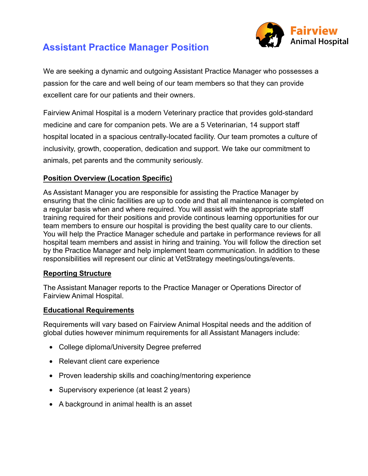

# **Assistant Practice Manager Position**

We are seeking a dynamic and outgoing Assistant Practice Manager who possesses a passion for the care and well being of our team members so that they can provide excellent care for our patients and their owners.

Fairview Animal Hospital is a modern Veterinary practice that provides gold-standard medicine and care for companion pets. We are a 5 Veterinarian, 14 support staff hospital located in a spacious centrally-located facility. Our team promotes a culture of inclusivity, growth, cooperation, dedication and support. We take our commitment to animals, pet parents and the community seriously.

## **Position Overview (Location Specific)**

As Assistant Manager you are responsible for assisting the Practice Manager by ensuring that the clinic facilities are up to code and that all maintenance is completed on a regular basis when and where required. You will assist with the appropriate staff training required for their positions and provide continous learning opportunities for our team members to ensure our hospital is providing the best quality care to our clients. You will help the Practice Manager schedule and partake in performance reviews for all hospital team members and assist in hiring and training. You will follow the direction set by the Practice Manager and help implement team communication. In addition to these responsibilities will represent our clinic at VetStrategy meetings/outings/events.

#### **Reporting Structure**

The Assistant Manager reports to the Practice Manager or Operations Director of Fairview Animal Hospital.

#### **Educational Requirements**

Requirements will vary based on Fairview Animal Hospital needs and the addition of global duties however minimum requirements for all Assistant Managers include:

- College diploma/University Degree preferred
- Relevant client care experience
- Proven leadership skills and coaching/mentoring experience
- Supervisory experience (at least 2 years)
- A background in animal health is an asset